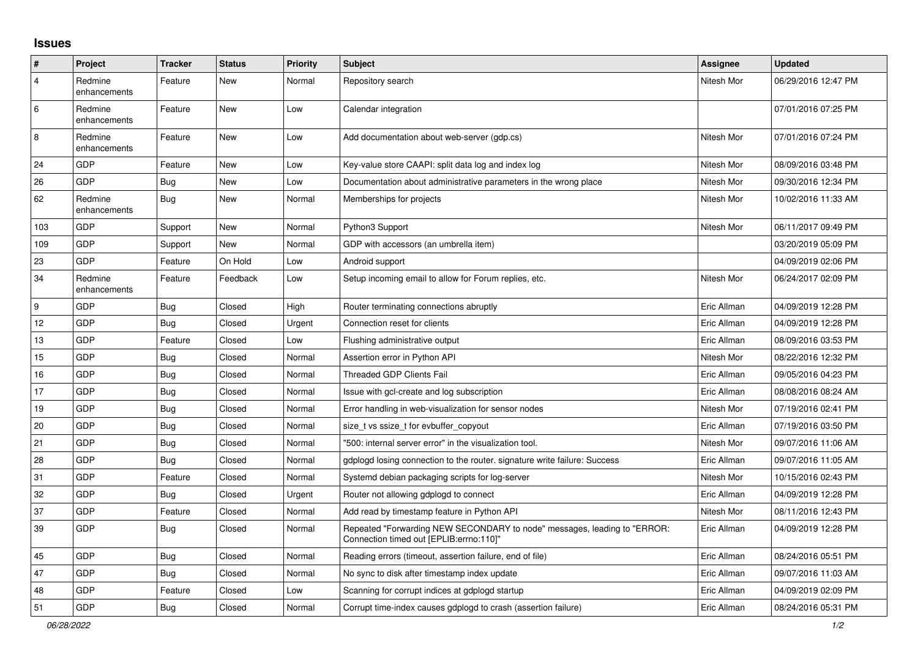## **Issues**

| #              | Project                 | <b>Tracker</b> | <b>Status</b> | <b>Priority</b> | <b>Subject</b>                                                                                                      | <b>Assignee</b> | <b>Updated</b>      |
|----------------|-------------------------|----------------|---------------|-----------------|---------------------------------------------------------------------------------------------------------------------|-----------------|---------------------|
| $\overline{4}$ | Redmine<br>enhancements | Feature        | New           | Normal          | Repository search                                                                                                   | Nitesh Mor      | 06/29/2016 12:47 PM |
| $\,6\,$        | Redmine<br>enhancements | Feature        | New           | Low             | Calendar integration                                                                                                |                 | 07/01/2016 07:25 PM |
| 8              | Redmine<br>enhancements | Feature        | New           | Low             | Add documentation about web-server (gdp.cs)                                                                         | Nitesh Mor      | 07/01/2016 07:24 PM |
| 24             | GDP                     | Feature        | <b>New</b>    | Low             | Key-value store CAAPI: split data log and index log                                                                 | Nitesh Mor      | 08/09/2016 03:48 PM |
| 26             | GDP                     | Bug            | New           | Low             | Documentation about administrative parameters in the wrong place                                                    | Nitesh Mor      | 09/30/2016 12:34 PM |
| 62             | Redmine<br>enhancements | <b>Bug</b>     | New           | Normal          | Memberships for projects                                                                                            | Nitesh Mor      | 10/02/2016 11:33 AM |
| 103            | GDP                     | Support        | New           | Normal          | Python3 Support                                                                                                     | Nitesh Mor      | 06/11/2017 09:49 PM |
| 109            | GDP                     | Support        | New           | Normal          | GDP with accessors (an umbrella item)                                                                               |                 | 03/20/2019 05:09 PM |
| 23             | GDP                     | Feature        | On Hold       | Low             | Android support                                                                                                     |                 | 04/09/2019 02:06 PM |
| 34             | Redmine<br>enhancements | Feature        | Feedback      | Low             | Setup incoming email to allow for Forum replies, etc.                                                               | Nitesh Mor      | 06/24/2017 02:09 PM |
| 9              | GDP                     | <b>Bug</b>     | Closed        | High            | Router terminating connections abruptly                                                                             | Eric Allman     | 04/09/2019 12:28 PM |
| 12             | GDP                     | Bug            | Closed        | Urgent          | Connection reset for clients                                                                                        | Eric Allman     | 04/09/2019 12:28 PM |
| 13             | GDP                     | Feature        | Closed        | Low             | Flushing administrative output                                                                                      | Eric Allman     | 08/09/2016 03:53 PM |
| 15             | <b>GDP</b>              | <b>Bug</b>     | Closed        | Normal          | Assertion error in Python API                                                                                       | Nitesh Mor      | 08/22/2016 12:32 PM |
| $16\,$         | GDP                     | <b>Bug</b>     | Closed        | Normal          | <b>Threaded GDP Clients Fail</b>                                                                                    | Eric Allman     | 09/05/2016 04:23 PM |
| 17             | GDP                     | Bug            | Closed        | Normal          | Issue with gcl-create and log subscription                                                                          | Eric Allman     | 08/08/2016 08:24 AM |
| 19             | GDP                     | <b>Bug</b>     | Closed        | Normal          | Error handling in web-visualization for sensor nodes                                                                | Nitesh Mor      | 07/19/2016 02:41 PM |
| 20             | GDP                     | Bug            | Closed        | Normal          | size t vs ssize t for evbuffer copyout                                                                              | Eric Allman     | 07/19/2016 03:50 PM |
| 21             | GDP                     | <b>Bug</b>     | Closed        | Normal          | "500: internal server error" in the visualization tool.                                                             | Nitesh Mor      | 09/07/2016 11:06 AM |
| 28             | GDP                     | Bug            | Closed        | Normal          | gdplogd losing connection to the router. signature write failure: Success                                           | Eric Allman     | 09/07/2016 11:05 AM |
| 31             | GDP                     | Feature        | Closed        | Normal          | Systemd debian packaging scripts for log-server                                                                     | Nitesh Mor      | 10/15/2016 02:43 PM |
| 32             | GDP                     | Bug            | Closed        | Urgent          | Router not allowing gdplogd to connect                                                                              | Eric Allman     | 04/09/2019 12:28 PM |
| 37             | GDP                     | Feature        | Closed        | Normal          | Add read by timestamp feature in Python API                                                                         | Nitesh Mor      | 08/11/2016 12:43 PM |
| 39             | GDP                     | <b>Bug</b>     | Closed        | Normal          | Repeated "Forwarding NEW SECONDARY to node" messages, leading to "ERROR:<br>Connection timed out [EPLIB:errno:110]" | Eric Allman     | 04/09/2019 12:28 PM |
| 45             | GDP                     | Bug            | Closed        | Normal          | Reading errors (timeout, assertion failure, end of file)                                                            | Eric Allman     | 08/24/2016 05:51 PM |
| 47             | GDP                     | <b>Bug</b>     | Closed        | Normal          | No sync to disk after timestamp index update                                                                        | Eric Allman     | 09/07/2016 11:03 AM |
| 48             | GDP                     | Feature        | Closed        | Low             | Scanning for corrupt indices at gdplogd startup                                                                     | Eric Allman     | 04/09/2019 02:09 PM |
| 51             | GDP                     | Bug            | Closed        | Normal          | Corrupt time-index causes gdplogd to crash (assertion failure)                                                      | Eric Allman     | 08/24/2016 05:31 PM |